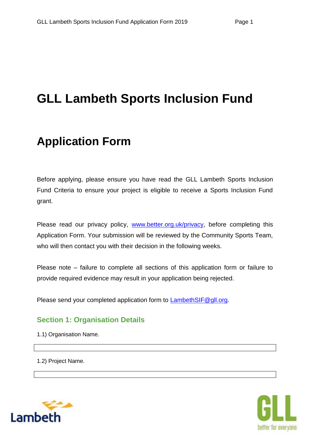# **GLL Lambeth Sports Inclusion Fund**

## **Application Form**

Before applying, please ensure you have read the GLL Lambeth Sports Inclusion Fund Criteria to ensure your project is eligible to receive a Sports Inclusion Fund grant.

Please read our privacy policy, www.better.org.uk/privacy, before completing this Application Form. Your submission will be reviewed by the Community Sports Team, who will then contact you with their decision in the following weeks.

Please note – failure to complete all sections of this application form or failure to provide required evidence may result in your application being rejected.

Please send your completed application form to LambethSIF@gll.org.

## **Section 1: Organisation Details**

1.1) Organisation Name.

1.2) Project Name.



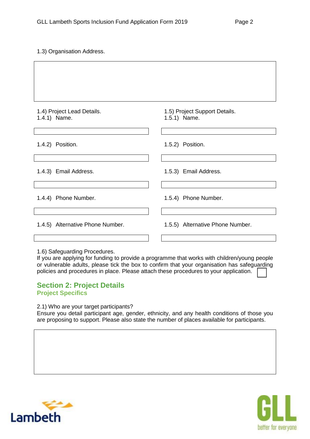1.3) Organisation Address.

|  |  | 1.4) Project Lead Details. |
|--|--|----------------------------|
|  |  |                            |

1.4.1) Name.

1.4.2) Position.

1.4.3) Email Address.

1.4.4) Phone Number.

1.4.5) Alternative Phone Number.

1.5) Project Support Details. 1.5.1) Name.

1.5.2) Position.

1.5.3) Email Address.

1.5.4) Phone Number.

1.5.5) Alternative Phone Number.

1.6) Safeguarding Procedures.

If you are applying for funding to provide a programme that works with children/young people or vulnerable adults, please tick the box to confirm that your organisation has safeguarding policies and procedures in place. Please attach these procedures to your application.

#### **Section 2: Project Details Project Specifics**

2.1) Who are your target participants?

Ensure you detail participant age, gender, ethnicity, and any health conditions of those you are proposing to support. Please also state the number of places available for participants.



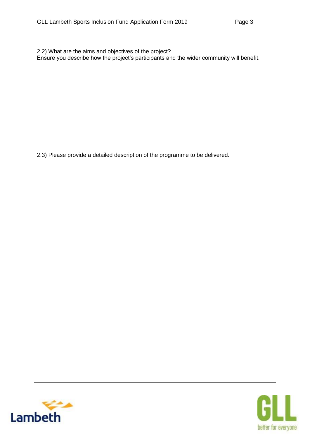2.2) What are the aims and objectives of the project? Ensure you describe how the project's participants and the wider community will benefit.

2.3) Please provide a detailed description of the programme to be delivered.



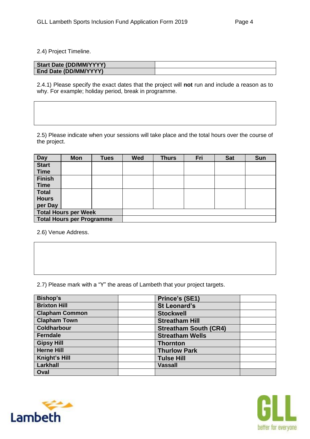2.4) Project Timeline.

| <b>Start Date (DD/MM/YYYY)</b> |  |
|--------------------------------|--|
| End Date (DD/MM/YYYY)          |  |

2.4.1) Please specify the exact dates that the project will **not** run and include a reason as to why. For example; holiday period, break in programme.

2.5) Please indicate when your sessions will take place and the total hours over the course of the project.

| <b>Day</b>                       | <b>Mon</b>                  | <b>Tues</b> | <b>Wed</b> | <b>Thurs</b> | Fri | <b>Sat</b> | <b>Sun</b> |
|----------------------------------|-----------------------------|-------------|------------|--------------|-----|------------|------------|
| <b>Start</b>                     |                             |             |            |              |     |            |            |
| <b>Time</b>                      |                             |             |            |              |     |            |            |
| <b>Finish</b>                    |                             |             |            |              |     |            |            |
| <b>Time</b>                      |                             |             |            |              |     |            |            |
| <b>Total</b>                     |                             |             |            |              |     |            |            |
| <b>Hours</b>                     |                             |             |            |              |     |            |            |
| per Day                          |                             |             |            |              |     |            |            |
|                                  | <b>Total Hours per Week</b> |             |            |              |     |            |            |
| <b>Total Hours per Programme</b> |                             |             |            |              |     |            |            |

2.6) Venue Address.

2.7) Please mark with a "Y" the areas of Lambeth that your project targets.

| <b>Bishop's</b>       | Prince's (SE1)               |
|-----------------------|------------------------------|
| <b>Brixton Hill</b>   | <b>St Leonard's</b>          |
| <b>Clapham Common</b> | <b>Stockwell</b>             |
| <b>Clapham Town</b>   | <b>Streatham Hill</b>        |
| <b>Coldharbour</b>    | <b>Streatham South (CR4)</b> |
| <b>Ferndale</b>       | <b>Streatham Wells</b>       |
| <b>Gipsy Hill</b>     | <b>Thornton</b>              |
| <b>Herne Hill</b>     | <b>Thurlow Park</b>          |
| Knight's Hill         | <b>Tulse Hill</b>            |
| Larkhall              | <b>Vassall</b>               |
| Oval                  |                              |



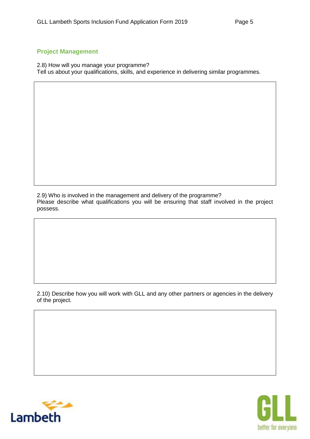#### **Project Management**

2.8) How will you manage your programme?

Tell us about your qualifications, skills, and experience in delivering similar programmes.

2.9) Who is involved in the management and delivery of the programme?

Please describe what qualifications you will be ensuring that staff involved in the project possess.

2.10) Describe how you will work with GLL and any other partners or agencies in the delivery of the project.



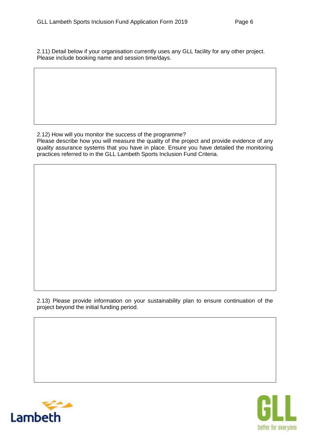2.11) Detail below if your organisation currently uses any GLL facility for any other project. Please include booking name and session time/days.

#### 2.12) How will you monitor the success of the programme?

Please describe how you will measure the quality of the project and provide evidence of any quality assurance systems that you have in place. Ensure you have detailed the monitoring practices referred to in the GLL Lambeth Sports Inclusion Fund Criteria.

2.13) Please provide information on your sustainability plan to ensure continuation of the project beyond the initial funding period.



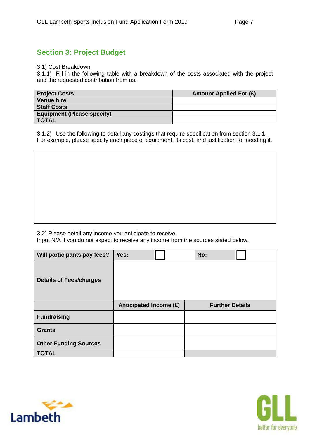## **Section 3: Project Budget**

3.1) Cost Breakdown.

3.1.1) Fill in the following table with a breakdown of the costs associated with the project and the requested contribution from us.

| <b>Project Costs</b>              | <b>Amount Applied For (£)</b> |
|-----------------------------------|-------------------------------|
| <b>Venue hire</b>                 |                               |
| <b>Staff Costs</b>                |                               |
| <b>Equipment (Please specify)</b> |                               |
| <b>TOTAL</b>                      |                               |

3.1.2) Use the following to detail any costings that require specification from section 3.1.1. For example, please specify each piece of equipment, its cost, and justification for needing it.

3.2) Please detail any income you anticipate to receive.

Input N/A if you do not expect to receive any income from the sources stated below.

| Will participants pay fees?    | Yes:                   | No: |                        |
|--------------------------------|------------------------|-----|------------------------|
| <b>Details of Fees/charges</b> |                        |     |                        |
|                                | Anticipated Income (£) |     | <b>Further Details</b> |
| <b>Fundraising</b>             |                        |     |                        |
| <b>Grants</b>                  |                        |     |                        |
| <b>Other Funding Sources</b>   |                        |     |                        |
| <b>TOTAL</b>                   |                        |     |                        |



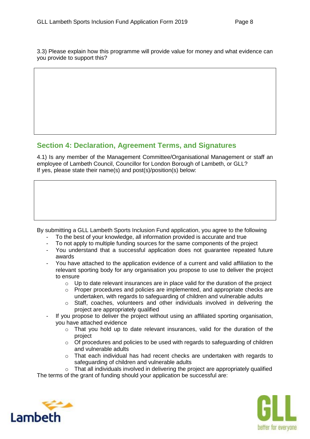3.3) Please explain how this programme will provide value for money and what evidence can you provide to support this?

### **Section 4: Declaration, Agreement Terms, and Signatures**

4.1) Is any member of the Management Committee/Organisational Management or staff an employee of Lambeth Council, Councillor for London Borough of Lambeth, or GLL? If yes, please state their name(s) and post(s)/position(s) below:

By submitting a GLL Lambeth Sports Inclusion Fund application, you agree to the following

- To the best of your knowledge, all information provided is accurate and true
- To not apply to multiple funding sources for the same components of the project
- You understand that a successful application does not guarantee repeated future awards
- You have attached to the application evidence of a current and valid affiliation to the relevant sporting body for any organisation you propose to use to deliver the project to ensure
	- $\circ$  Up to date relevant insurances are in place valid for the duration of the project
	- o Proper procedures and policies are implemented, and appropriate checks are undertaken, with regards to safeguarding of children and vulnerable adults
	- o Staff, coaches, volunteers and other individuals involved in delivering the project are appropriately qualified
- If you propose to deliver the project without using an affiliated sporting organisation, you have attached evidence
	- $\circ$  That you hold up to date relevant insurances, valid for the duration of the project
	- $\circ$  Of procedures and policies to be used with regards to safeguarding of children and vulnerable adults
	- $\circ$  That each individual has had recent checks are undertaken with regards to safeguarding of children and vulnerable adults

o That all individuals involved in delivering the project are appropriately qualified The terms of the grant of funding should your application be successful are: